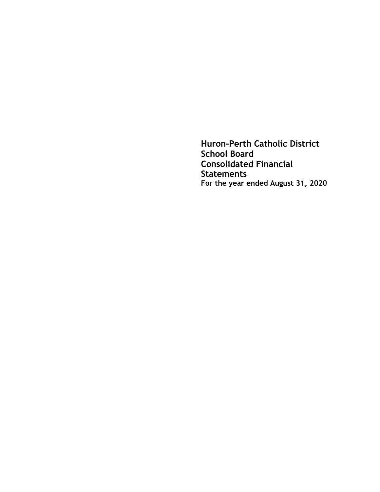**Huron-Perth Catholic District School Board Consolidated Financial Statements For the year ended August 31, 2020**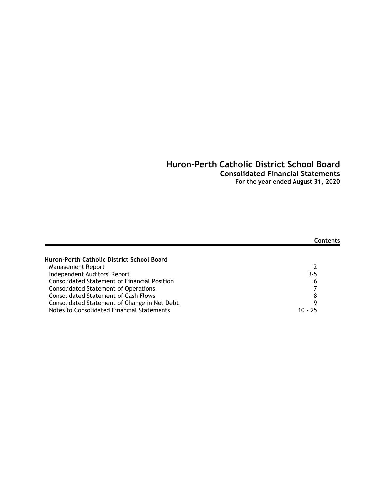## **Consolidated Financial Statements**

**For the year ended August 31, 2020**

|                                                     | Contents |
|-----------------------------------------------------|----------|
| Huron-Perth Catholic District School Board          |          |
| Management Report                                   |          |
| Independent Auditors' Report                        | $3 - 5$  |
| <b>Consolidated Statement of Financial Position</b> | 6        |
| <b>Consolidated Statement of Operations</b>         |          |
| <b>Consolidated Statement of Cash Flows</b>         | 8        |
| Consolidated Statement of Change in Net Debt        | q        |
| Notes to Consolidated Financial Statements          | 10 - 25  |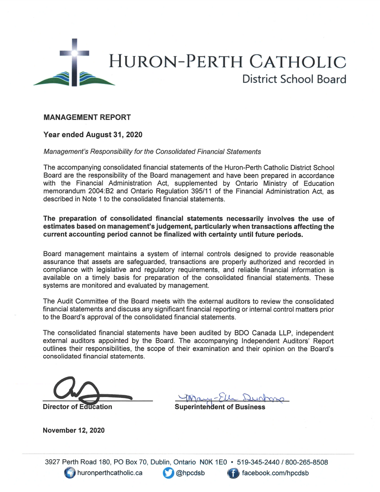

## **MANAGEMENT REPORT**

### Year ended August 31, 2020

#### Management's Responsibility for the Consolidated Financial Statements

The accompanying consolidated financial statements of the Huron-Perth Catholic District School Board are the responsibility of the Board management and have been prepared in accordance with the Financial Administration Act, supplemented by Ontario Ministry of Education memorandum 2004:B2 and Ontario Regulation 395/11 of the Financial Administration Act, as described in Note 1 to the consolidated financial statements.

The preparation of consolidated financial statements necessarily involves the use of estimates based on management's judgement, particularly when transactions affecting the current accounting period cannot be finalized with certainty until future periods.

Board management maintains a system of internal controls designed to provide reasonable assurance that assets are safeguarded, transactions are properly authorized and recorded in compliance with legislative and regulatory requirements, and reliable financial information is available on a timely basis for preparation of the consolidated financial statements. These systems are monitored and evaluated by management.

The Audit Committee of the Board meets with the external auditors to review the consolidated financial statements and discuss any significant financial reporting or internal control matters prior to the Board's approval of the consolidated financial statements.

The consolidated financial statements have been audited by BDO Canada LLP, independent external auditors appointed by the Board. The accompanying Independent Auditors' Report outlines their responsibilities, the scope of their examination and their opinion on the Board's consolidated financial statements.

**Director of Education** 

**Superintendent of Business** 

**November 12, 2020** 

3927 Perth Road 180, PO Box 70, Dublin, Ontario N0K 1E0 • 519-345-2440 / 800-265-8508 huronperthcatholic.ca @hpcdsb facebook.com/hpcdsb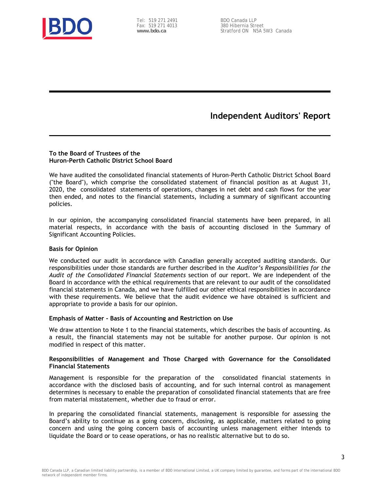

Tel: 519 271 2491 Fax: 519 271 4013 **www.bdo.ca**

BDO Canada LLP 380 Hibernia Street Stratford ON N5A 5W3 Canada

## **Independent Auditors' Report**

#### **To the Board of Trustees of the Huron-Perth Catholic District School Board**

We have audited the consolidated financial statements of Huron-Perth Catholic District School Board ("the Board"), which comprise the consolidated statement of financial position as at August 31, 2020, the consolidated statements of operations, changes in net debt and cash flows for the year then ended, and notes to the financial statements, including a summary of significant accounting policies.

In our opinion, the accompanying consolidated financial statements have been prepared, in all material respects, in accordance with the basis of accounting disclosed in the Summary of Significant Accounting Policies.

#### **Basis for Opinion**

We conducted our audit in accordance with Canadian generally accepted auditing standards. Our responsibilities under those standards are further described in the *Auditor's Responsibilities for the Audit of the Consolidated Financial Statements* section of our report. We are independent of the Board in accordance with the ethical requirements that are relevant to our audit of the consolidated financial statements in Canada, and we have fulfilled our other ethical responsibilities in accordance with these requirements. We believe that the audit evidence we have obtained is sufficient and appropriate to provide a basis for our opinion.

#### **Emphasis of Matter - Basis of Accounting and Restriction on Use**

We draw attention to Note 1 to the financial statements, which describes the basis of accounting. As a result, the financial statements may not be suitable for another purpose. Our opinion is not modified in respect of this matter.

#### **Responsibilities of Management and Those Charged with Governance for the Consolidated Financial Statements**

Management is responsible for the preparation of the consolidated financial statements in accordance with the disclosed basis of accounting, and for such internal control as management determines is necessary to enable the preparation of consolidated financial statements that are free from material misstatement, whether due to fraud or error.

In preparing the consolidated financial statements, management is responsible for assessing the Board's ability to continue as a going concern, disclosing, as applicable, matters related to going concern and using the going concern basis of accounting unless management either intends to liquidate the Board or to cease operations, or has no realistic alternative but to do so.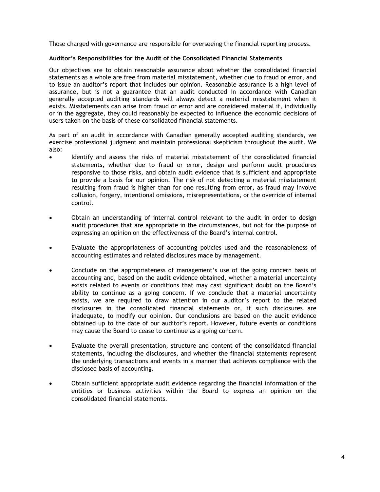Those charged with governance are responsible for overseeing the financial reporting process.

#### **Auditor's Responsibilities for the Audit of the Consolidated Financial Statements**

Our objectives are to obtain reasonable assurance about whether the consolidated financial statements as a whole are free from material misstatement, whether due to fraud or error, and to issue an auditor's report that includes our opinion. Reasonable assurance is a high level of assurance, but is not a guarantee that an audit conducted in accordance with Canadian generally accepted auditing standards will always detect a material misstatement when it exists. Misstatements can arise from fraud or error and are considered material if, individually or in the aggregate, they could reasonably be expected to influence the economic decisions of users taken on the basis of these consolidated financial statements.

As part of an audit in accordance with Canadian generally accepted auditing standards, we exercise professional judgment and maintain professional skepticism throughout the audit. We also:

- Identify and assess the risks of material misstatement of the consolidated financial statements, whether due to fraud or error, design and perform audit procedures responsive to those risks, and obtain audit evidence that is sufficient and appropriate to provide a basis for our opinion. The risk of not detecting a material misstatement resulting from fraud is higher than for one resulting from error, as fraud may involve collusion, forgery, intentional omissions, misrepresentations, or the override of internal control.
- Obtain an understanding of internal control relevant to the audit in order to design audit procedures that are appropriate in the circumstances, but not for the purpose of expressing an opinion on the effectiveness of the Board's internal control.
- Evaluate the appropriateness of accounting policies used and the reasonableness of accounting estimates and related disclosures made by management.
- Conclude on the appropriateness of management's use of the going concern basis of accounting and, based on the audit evidence obtained, whether a material uncertainty exists related to events or conditions that may cast significant doubt on the Board's ability to continue as a going concern. If we conclude that a material uncertainty exists, we are required to draw attention in our auditor's report to the related disclosures in the consolidated financial statements or, if such disclosures are inadequate, to modify our opinion. Our conclusions are based on the audit evidence obtained up to the date of our auditor's report. However, future events or conditions may cause the Board to cease to continue as a going concern.
- Evaluate the overall presentation, structure and content of the consolidated financial statements, including the disclosures, and whether the financial statements represent the underlying transactions and events in a manner that achieves compliance with the disclosed basis of accounting.
- Obtain sufficient appropriate audit evidence regarding the financial information of the entities or business activities within the Board to express an opinion on the consolidated financial statements.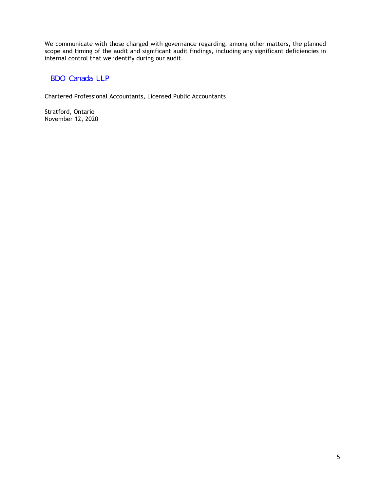We communicate with those charged with governance regarding, among other matters, the planned scope and timing of the audit and significant audit findings, including any significant deficiencies in internal control that we identify during our audit.

## BDO Canada LLP

Chartered Professional Accountants, Licensed Public Accountants

Stratford, Ontario November 12, 2020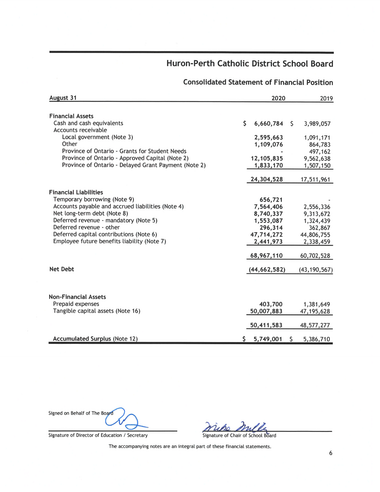## **Consolidated Statement of Financial Position**

| August 31                                            | 2020            | 2019 |                |
|------------------------------------------------------|-----------------|------|----------------|
|                                                      |                 |      |                |
| <b>Financial Assets</b>                              |                 |      |                |
| Cash and cash equivalents                            | \$<br>6,660,784 | \$   | 3,989,057      |
| Accounts receivable                                  |                 |      |                |
| Local government (Note 3)                            | 2,595,663       |      | 1,091,171      |
| Other                                                | 1,109,076       |      | 864,783        |
| Province of Ontario - Grants for Student Needs       |                 |      | 497,162        |
| Province of Ontario - Approved Capital (Note 2)      | 12,105,835      |      | 9,562,638      |
| Province of Ontario - Delayed Grant Payment (Note 2) | 1,833,170       |      | 1,507,150      |
|                                                      | 24,304,528      |      | 17,511,961     |
|                                                      |                 |      |                |
| <b>Financial Liabilities</b>                         |                 |      |                |
| Temporary borrowing (Note 9)                         | 656,721         |      |                |
| Accounts payable and accrued liabilities (Note 4)    | 7,564,406       |      | 2,556,336      |
| Net long-term debt (Note 8)                          | 8,740,337       |      | 9,313,672      |
| Deferred revenue - mandatory (Note 5)                | 1,553,087       |      | 1,324,439      |
| Deferred revenue - other                             | 296,314         |      | 362,867        |
| Deferred capital contributions (Note 6)              | 47,714,272      |      | 44,806,755     |
| Employee future benefits liability (Note 7)          | 2,441,973       |      | 2,338,459      |
|                                                      | 68,967,110      |      | 60,702,528     |
| <b>Net Debt</b>                                      | (44, 662, 582)  |      | (43, 190, 567) |
|                                                      |                 |      |                |
| <b>Non-Financial Assets</b>                          |                 |      |                |
| Prepaid expenses                                     | 403,700         |      | 1,381,649      |
| Tangible capital assets (Note 16)                    | 50,007,883      |      | 47,195,628     |
|                                                      | 50,411,583      |      | 48,577,277     |
| <b>Accumulated Surplus (Note 12)</b>                 | \$5,749,001     | S    | 5,386,710      |

Signature of Director of Education / Secretary

Signed on Behalf of The Board

mlle upo

Signature of Chair of School Board

The accompanying notes are an integral part of these financial statements.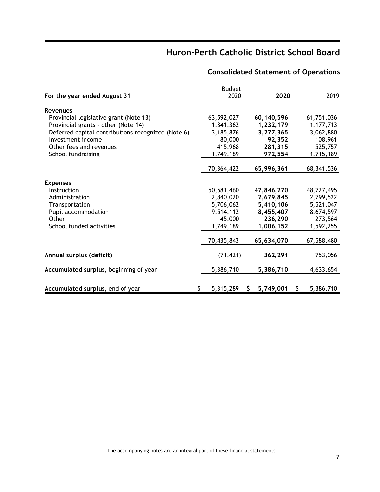|                                                    | <b>Budget</b> |    |            |    |            |
|----------------------------------------------------|---------------|----|------------|----|------------|
| For the year ended August 31                       | 2020          |    | 2020       |    | 2019       |
| <b>Revenues</b>                                    |               |    |            |    |            |
| Provincial legislative grant (Note 13)             | 63,592,027    |    | 60,140,596 |    | 61,751,036 |
| Provincial grants - other (Note 14)                | 1,341,362     |    | 1,232,179  |    | 1,177,713  |
| Deferred capital contributions recognized (Note 6) | 3,185,876     |    | 3,277,365  |    | 3,062,880  |
| Investment income                                  | 80,000        |    | 92,352     |    | 108,961    |
| Other fees and revenues                            | 415,968       |    | 281,315    |    | 525,757    |
| School fundraising                                 | 1,749,189     |    | 972,554    |    | 1,715,189  |
|                                                    | 70,364,422    |    | 65,996,361 |    | 68,341,536 |
| <b>Expenses</b>                                    |               |    |            |    |            |
| Instruction                                        | 50,581,460    |    | 47,846,270 |    | 48,727,495 |
| Administration                                     | 2,840,020     |    | 2,679,845  |    | 2,799,522  |
| Transportation                                     | 5,706,062     |    | 5,410,106  |    | 5,521,047  |
| Pupil accommodation                                | 9,514,112     |    | 8,455,407  |    | 8,674,597  |
| Other                                              | 45,000        |    | 236,290    |    | 273,564    |
| School funded activities                           | 1,749,189     |    | 1,006,152  |    | 1,592,255  |
|                                                    | 70,435,843    |    | 65,634,070 |    | 67,588,480 |
| Annual surplus (deficit)                           | (71, 421)     |    | 362,291    |    | 753,056    |
| Accumulated surplus, beginning of year             | 5,386,710     |    | 5,386,710  |    | 4,633,654  |
| Accumulated surplus, end of year                   | 5,315,289     | S. | 5,749,001  | S. | 5,386,710  |

## **Consolidated Statement of Operations**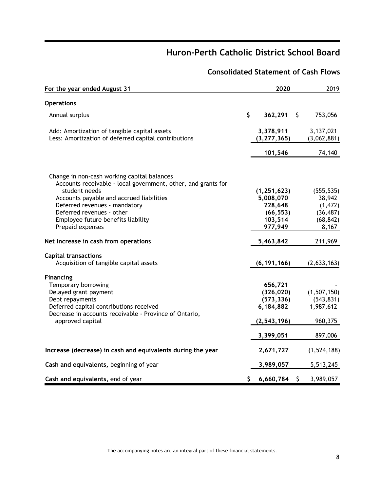## **Consolidated Statement of Cash Flows**

| For the year ended August 31                                                                                 |     | 2020                       | 2019                     |
|--------------------------------------------------------------------------------------------------------------|-----|----------------------------|--------------------------|
| <b>Operations</b>                                                                                            |     |                            |                          |
| Annual surplus                                                                                               | \$  | 362,291                    | \$<br>753,056            |
| Add: Amortization of tangible capital assets<br>Less: Amortization of deferred capital contributions         |     | 3,378,911<br>(3, 277, 365) | 3,137,021<br>(3,062,881) |
|                                                                                                              |     | 101,546                    | 74,140                   |
| Change in non-cash working capital balances<br>Accounts receivable - local government, other, and grants for |     |                            |                          |
| student needs                                                                                                |     | (1, 251, 623)              | (555, 535)               |
| Accounts payable and accrued liabilities                                                                     |     | 5,008,070                  | 38,942                   |
| Deferred revenues - mandatory                                                                                |     | 228,648                    | (1, 472)                 |
| Deferred revenues - other                                                                                    |     | (66, 553)                  | (36, 487)                |
| Employee future benefits liability                                                                           |     | 103,514                    | (68, 842)                |
| Prepaid expenses                                                                                             |     | 977,949                    | 8,167                    |
| Net increase in cash from operations                                                                         |     | 5,463,842                  | 211,969                  |
| <b>Capital transactions</b><br>Acquisition of tangible capital assets                                        |     |                            |                          |
|                                                                                                              |     | (6, 191, 166)              | (2,633,163)              |
| <b>Financing</b>                                                                                             |     |                            |                          |
| Temporary borrowing                                                                                          |     | 656,721                    |                          |
| Delayed grant payment                                                                                        |     | (326, 020)                 | (1,507,150)              |
| Debt repayments                                                                                              |     | (573, 336)                 | (543, 831)               |
| Deferred capital contributions received                                                                      |     | 6,184,882                  | 1,987,612                |
| Decrease in accounts receivable - Province of Ontario,<br>approved capital                                   |     | (2, 543, 196)              | 960,375                  |
|                                                                                                              |     | 3,399,051                  | 897,006                  |
| Increase (decrease) in cash and equivalents during the year                                                  |     | 2,671,727                  | (1,524,188)              |
| Cash and equivalents, beginning of year                                                                      |     | 3,989,057                  | 5,513,245                |
| Cash and equivalents, end of year                                                                            | \$. | 6,660,784                  | \$<br>3,989,057          |

The accompanying notes are an integral part of these financial statements.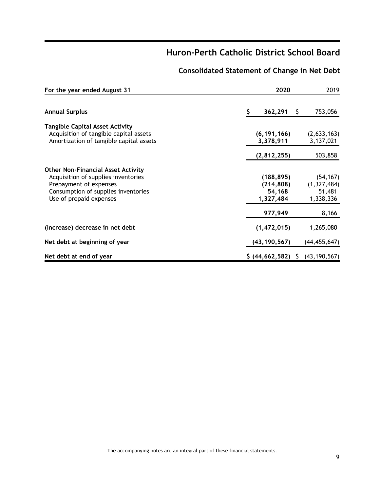## **Consolidated Statement of Change in Net Debt**

| For the year ended August 31                                                                                                                                                 | 2020 |                                                 | 2019 |                                                   |
|------------------------------------------------------------------------------------------------------------------------------------------------------------------------------|------|-------------------------------------------------|------|---------------------------------------------------|
| <b>Annual Surplus</b>                                                                                                                                                        | \$   | 362,291                                         | Ş    | 753,056                                           |
| <b>Tangible Capital Asset Activity</b><br>Acquisition of tangible capital assets<br>Amortization of tangible capital assets                                                  |      | (6, 191, 166)<br>3,378,911                      |      | (2,633,163)<br>3,137,021                          |
|                                                                                                                                                                              |      | (2,812,255)                                     |      | 503,858                                           |
| <b>Other Non-Financial Asset Activity</b><br>Acquisition of supplies inventories<br>Prepayment of expenses<br>Consumption of supplies inventories<br>Use of prepaid expenses |      | (188, 895)<br>(214, 808)<br>54,168<br>1,327,484 |      | (54, 167)<br>(1, 327, 484)<br>51,481<br>1,338,336 |
|                                                                                                                                                                              |      | 977,949                                         |      | 8,166                                             |
| (Increase) decrease in net debt                                                                                                                                              |      | (1,472,015)                                     |      | 1,265,080                                         |
| Net debt at beginning of year                                                                                                                                                |      | (43, 190, 567)                                  |      | (44, 455, 647)                                    |
| Net debt at end of year                                                                                                                                                      |      | \$ (44,662,582) \$ (43,190,567)                 |      |                                                   |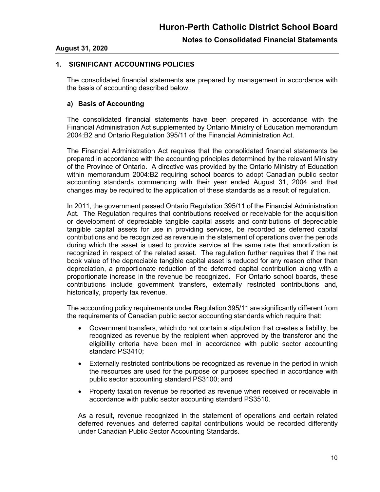### **August 31, 2020**

### **1. SIGNIFICANT ACCOUNTING POLICIES**

The consolidated financial statements are prepared by management in accordance with the basis of accounting described below.

#### **a) Basis of Accounting**

The consolidated financial statements have been prepared in accordance with the Financial Administration Act supplemented by Ontario Ministry of Education memorandum 2004:B2 and Ontario Regulation 395/11 of the Financial Administration Act.

The Financial Administration Act requires that the consolidated financial statements be prepared in accordance with the accounting principles determined by the relevant Ministry of the Province of Ontario. A directive was provided by the Ontario Ministry of Education within memorandum 2004:B2 requiring school boards to adopt Canadian public sector accounting standards commencing with their year ended August 31, 2004 and that changes may be required to the application of these standards as a result of regulation.

In 2011, the government passed Ontario Regulation 395/11 of the Financial Administration Act. The Regulation requires that contributions received or receivable for the acquisition or development of depreciable tangible capital assets and contributions of depreciable tangible capital assets for use in providing services, be recorded as deferred capital contributions and be recognized as revenue in the statement of operations over the periods during which the asset is used to provide service at the same rate that amortization is recognized in respect of the related asset. The regulation further requires that if the net book value of the depreciable tangible capital asset is reduced for any reason other than depreciation, a proportionate reduction of the deferred capital contribution along with a proportionate increase in the revenue be recognized. For Ontario school boards, these contributions include government transfers, externally restricted contributions and, historically, property tax revenue.

The accounting policy requirements under Regulation 395/11 are significantly different from the requirements of Canadian public sector accounting standards which require that:

- Government transfers, which do not contain a stipulation that creates a liability, be recognized as revenue by the recipient when approved by the transferor and the eligibility criteria have been met in accordance with public sector accounting standard PS3410;
- Externally restricted contributions be recognized as revenue in the period in which the resources are used for the purpose or purposes specified in accordance with public sector accounting standard PS3100; and
- Property taxation revenue be reported as revenue when received or receivable in accordance with public sector accounting standard PS3510.

As a result, revenue recognized in the statement of operations and certain related deferred revenues and deferred capital contributions would be recorded differently under Canadian Public Sector Accounting Standards.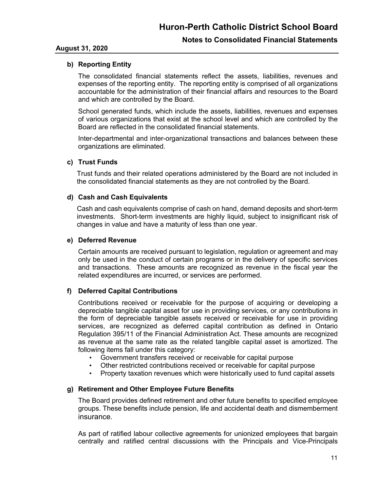### **August 31, 2020**

### **b) Reporting Entity**

The consolidated financial statements reflect the assets, liabilities, revenues and expenses of the reporting entity. The reporting entity is comprised of all organizations accountable for the administration of their financial affairs and resources to the Board and which are controlled by the Board.

School generated funds, which include the assets, liabilities, revenues and expenses of various organizations that exist at the school level and which are controlled by the Board are reflected in the consolidated financial statements.

Inter-departmental and inter-organizational transactions and balances between these organizations are eliminated.

#### **c) Trust Funds**

Trust funds and their related operations administered by the Board are not included in the consolidated financial statements as they are not controlled by the Board.

#### **d) Cash and Cash Equivalents**

Cash and cash equivalents comprise of cash on hand, demand deposits and short-term investments. Short-term investments are highly liquid, subject to insignificant risk of changes in value and have a maturity of less than one year.

#### **e) Deferred Revenue**

Certain amounts are received pursuant to legislation, regulation or agreement and may only be used in the conduct of certain programs or in the delivery of specific services and transactions. These amounts are recognized as revenue in the fiscal year the related expenditures are incurred, or services are performed.

#### **f) Deferred Capital Contributions**

Contributions received or receivable for the purpose of acquiring or developing a depreciable tangible capital asset for use in providing services, or any contributions in the form of depreciable tangible assets received or receivable for use in providing services, are recognized as deferred capital contribution as defined in Ontario Regulation 395/11 of the Financial Administration Act. These amounts are recognized as revenue at the same rate as the related tangible capital asset is amortized. The following items fall under this category:

- Government transfers received or receivable for capital purpose
- Other restricted contributions received or receivable for capital purpose
- Property taxation revenues which were historically used to fund capital assets

#### **g) Retirement and Other Employee Future Benefits**

The Board provides defined retirement and other future benefits to specified employee groups. These benefits include pension, life and accidental death and dismemberment insurance.

As part of ratified labour collective agreements for unionized employees that bargain centrally and ratified central discussions with the Principals and Vice-Principals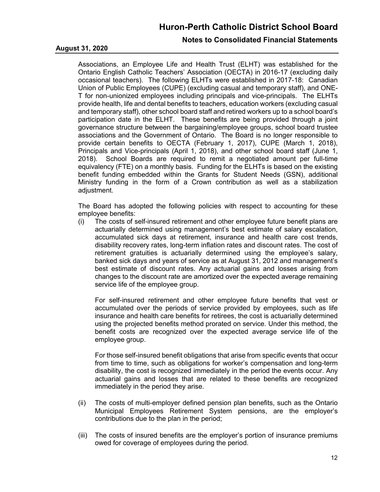### **Notes to Consolidated Financial Statements**

#### **August 31, 2020**

Associations, an Employee Life and Health Trust (ELHT) was established for the Ontario English Catholic Teachers' Association (OECTA) in 2016-17 (excluding daily occasional teachers). The following ELHTs were established in 2017-18: Canadian Union of Public Employees (CUPE) (excluding casual and temporary staff), and ONE-T for non-unionized employees including principals and vice-principals. The ELHTs provide health, life and dental benefits to teachers, education workers (excluding casual and temporary staff), other school board staff and retired workers up to a school board's participation date in the ELHT. These benefits are being provided through a joint governance structure between the bargaining/employee groups, school board trustee associations and the Government of Ontario. The Board is no longer responsible to provide certain benefits to OECTA (February 1, 2017), CUPE (March 1, 2018), Principals and Vice-principals (April 1, 2018), and other school board staff (June 1, 2018). School Boards are required to remit a negotiated amount per full-time equivalency (FTE) on a monthly basis. Funding for the ELHTs is based on the existing benefit funding embedded within the Grants for Student Needs (GSN), additional Ministry funding in the form of a Crown contribution as well as a stabilization adjustment.

The Board has adopted the following policies with respect to accounting for these employee benefits:

(i) The costs of self-insured retirement and other employee future benefit plans are actuarially determined using management's best estimate of salary escalation, accumulated sick days at retirement, insurance and health care cost trends, disability recovery rates, long-term inflation rates and discount rates. The cost of retirement gratuities is actuarially determined using the employee's salary, banked sick days and years of service as at August 31, 2012 and management's best estimate of discount rates. Any actuarial gains and losses arising from changes to the discount rate are amortized over the expected average remaining service life of the employee group.

For self-insured retirement and other employee future benefits that vest or accumulated over the periods of service provided by employees, such as life insurance and health care benefits for retirees, the cost is actuarially determined using the projected benefits method prorated on service. Under this method, the benefit costs are recognized over the expected average service life of the employee group.

For those self-insured benefit obligations that arise from specific events that occur from time to time, such as obligations for worker's compensation and long-term disability, the cost is recognized immediately in the period the events occur. Any actuarial gains and losses that are related to these benefits are recognized immediately in the period they arise.

- (ii) The costs of multi-employer defined pension plan benefits, such as the Ontario Municipal Employees Retirement System pensions, are the employer's contributions due to the plan in the period;
- (iii) The costs of insured benefits are the employer's portion of insurance premiums owed for coverage of employees during the period.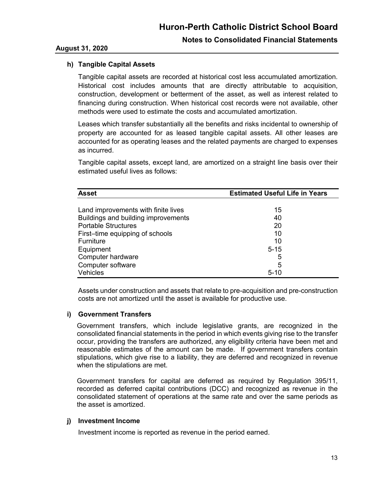## **August 31, 2020**

## **h) Tangible Capital Assets**

Tangible capital assets are recorded at historical cost less accumulated amortization. Historical cost includes amounts that are directly attributable to acquisition, construction, development or betterment of the asset, as well as interest related to financing during construction. When historical cost records were not available, other methods were used to estimate the costs and accumulated amortization.

Leases which transfer substantially all the benefits and risks incidental to ownership of property are accounted for as leased tangible capital assets. All other leases are accounted for as operating leases and the related payments are charged to expenses as incurred.

Tangible capital assets, except land, are amortized on a straight line basis over their estimated useful lives as follows:

| <b>Asset</b>                        | <b>Estimated Useful Life in Years</b> |  |  |  |  |
|-------------------------------------|---------------------------------------|--|--|--|--|
|                                     |                                       |  |  |  |  |
| Land improvements with finite lives | 15                                    |  |  |  |  |
| Buildings and building improvements | 40                                    |  |  |  |  |
| <b>Portable Structures</b>          | 20                                    |  |  |  |  |
| First-time equipping of schools     | 10                                    |  |  |  |  |
| Furniture                           | 10                                    |  |  |  |  |
| Equipment                           | $5 - 15$                              |  |  |  |  |
| Computer hardware                   | 5                                     |  |  |  |  |
| Computer software                   | 5                                     |  |  |  |  |
| Vehicles                            | $5 - 10$                              |  |  |  |  |

Assets under construction and assets that relate to pre-acquisition and pre-construction costs are not amortized until the asset is available for productive use.

## **i) Government Transfers**

Government transfers, which include legislative grants, are recognized in the consolidated financial statements in the period in which events giving rise to the transfer occur, providing the transfers are authorized, any eligibility criteria have been met and reasonable estimates of the amount can be made. If government transfers contain stipulations, which give rise to a liability, they are deferred and recognized in revenue when the stipulations are met.

Government transfers for capital are deferred as required by Regulation 395/11, recorded as deferred capital contributions (DCC) and recognized as revenue in the consolidated statement of operations at the same rate and over the same periods as the asset is amortized.

## **j) Investment Income**

Investment income is reported as revenue in the period earned.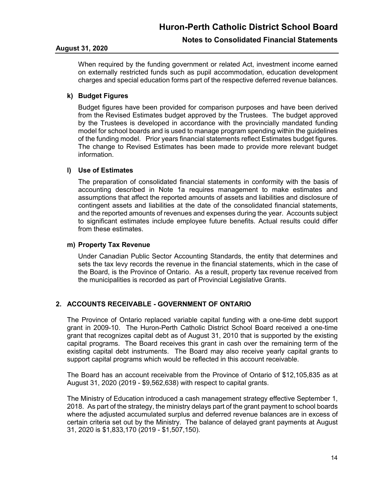## **Notes to Consolidated Financial Statements**

#### **August 31, 2020**

When required by the funding government or related Act, investment income earned on externally restricted funds such as pupil accommodation, education development charges and special education forms part of the respective deferred revenue balances.

## **k) Budget Figures**

Budget figures have been provided for comparison purposes and have been derived from the Revised Estimates budget approved by the Trustees. The budget approved by the Trustees is developed in accordance with the provincially mandated funding model for school boards and is used to manage program spending within the guidelines of the funding model. Prior years financial statements reflect Estimates budget figures. The change to Revised Estimates has been made to provide more relevant budget information.

### **l) Use of Estimates**

The preparation of consolidated financial statements in conformity with the basis of accounting described in Note 1a requires management to make estimates and assumptions that affect the reported amounts of assets and liabilities and disclosure of contingent assets and liabilities at the date of the consolidated financial statements, and the reported amounts of revenues and expenses during the year. Accounts subject to significant estimates include employee future benefits. Actual results could differ from these estimates.

#### **m) Property Tax Revenue**

Under Canadian Public Sector Accounting Standards, the entity that determines and sets the tax levy records the revenue in the financial statements, which in the case of the Board, is the Province of Ontario. As a result, property tax revenue received from the municipalities is recorded as part of Provincial Legislative Grants.

## **2. ACCOUNTS RECEIVABLE - GOVERNMENT OF ONTARIO**

The Province of Ontario replaced variable capital funding with a one-time debt support grant in 2009-10. The Huron-Perth Catholic District School Board received a one-time grant that recognizes capital debt as of August 31, 2010 that is supported by the existing capital programs. The Board receives this grant in cash over the remaining term of the existing capital debt instruments. The Board may also receive yearly capital grants to support capital programs which would be reflected in this account receivable.

The Board has an account receivable from the Province of Ontario of \$12,105,835 as at August 31, 2020 (2019 - \$9,562,638) with respect to capital grants.

The Ministry of Education introduced a cash management strategy effective September 1, 2018. As part of the strategy, the ministry delays part of the grant payment to school boards where the adjusted accumulated surplus and deferred revenue balances are in excess of certain criteria set out by the Ministry. The balance of delayed grant payments at August 31, 2020 is \$1,833,170 (2019 - \$1,507,150).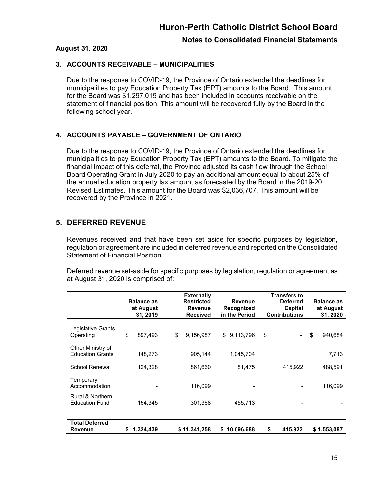#### **August 31, 2020**

## **3. ACCOUNTS RECEIVABLE – MUNICIPALITIES**

Due to the response to COVID-19, the Province of Ontario extended the deadlines for municipalities to pay Education Property Tax (EPT) amounts to the Board. This amount for the Board was \$1,297,019 and has been included in accounts receivable on the statement of financial position. This amount will be recovered fully by the Board in the following school year.

## **4. ACCOUNTS PAYABLE – GOVERNMENT OF ONTARIO**

Due to the response to COVID-19, the Province of Ontario extended the deadlines for municipalities to pay Education Property Tax (EPT) amounts to the Board. To mitigate the financial impact of this deferral, the Province adjusted its cash flow through the School Board Operating Grant in July 2020 to pay an additional amount equal to about 25% of the annual education property tax amount as forecasted by the Board in the 2019-20 Revised Estimates. This amount for the Board was \$2,036,707. This amount will be recovered by the Province in 2021.

## **5. DEFERRED REVENUE**

Revenues received and that have been set aside for specific purposes by legislation, regulation or agreement are included in deferred revenue and reported on the Consolidated Statement of Financial Position.

Deferred revenue set-aside for specific purposes by legislation, regulation or agreement as at August 31, 2020 is comprised of:

|                                              | <b>Balance as</b><br>at August<br>31, 2019 |    | <b>Externally</b><br><b>Restricted</b><br><b>Revenue</b><br><b>Received</b> | <b>Revenue</b><br>Recognized<br>in the Period | <b>Transfers to</b><br><b>Deferred</b><br>Capital<br><b>Contributions</b> | <b>Balance as</b><br>at August<br>31, 2020 |
|----------------------------------------------|--------------------------------------------|----|-----------------------------------------------------------------------------|-----------------------------------------------|---------------------------------------------------------------------------|--------------------------------------------|
| Legislative Grants,<br>Operating             | \$<br>897,493                              | \$ | 9,156,987                                                                   | \$<br>9,113,796                               | \$                                                                        | \$<br>940,684                              |
| Other Ministry of<br><b>Education Grants</b> | 148,273                                    |    | 905,144                                                                     | 1,045,704                                     |                                                                           | 7,713                                      |
| School Renewal                               | 124,328                                    |    | 861,660                                                                     | 81,475                                        | 415,922                                                                   | 488,591                                    |
| Temporary<br>Accommodation                   |                                            |    | 116,099                                                                     |                                               |                                                                           | 116,099                                    |
| Rural & Northern<br><b>Education Fund</b>    | 154,345                                    |    | 301,368                                                                     | 455,713                                       |                                                                           |                                            |
| <b>Total Deferred</b>                        |                                            |    |                                                                             |                                               |                                                                           |                                            |
| <b>Revenue</b>                               | \$1,324,439                                |    | \$11,341,258                                                                | \$10,696,688                                  | \$<br>415,922                                                             | \$1,553,087                                |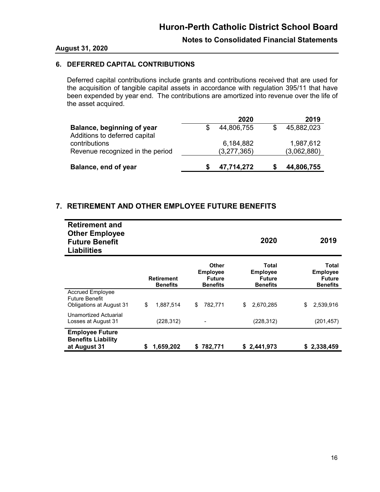## **Notes to Consolidated Financial Statements**

#### **August 31, 2020**

## **6. DEFERRED CAPITAL CONTRIBUTIONS**

Deferred capital contributions include grants and contributions received that are used for the acquisition of tangible capital assets in accordance with regulation 395/11 that have been expended by year end. The contributions are amortized into revenue over the life of the asset acquired.

|                                                             | 2020                     | 2019                     |
|-------------------------------------------------------------|--------------------------|--------------------------|
| Balance, beginning of year<br>Additions to deferred capital | 44,806,755               | 45,882,023               |
| contributions<br>Revenue recognized in the period           | 6,184,882<br>(3,277,365) | 1,987,612<br>(3,062,880) |
| Balance, end of year                                        | 47,714,272               | 44,806,755               |

## **7. RETIREMENT AND OTHER EMPLOYEE FUTURE BENEFITS**

| <b>Retirement and</b><br><b>Other Employee</b><br><b>Future Benefit</b><br><b>Liabilities</b> |                                      |                                                              | 2020                                                         | 2019                                                                |
|-----------------------------------------------------------------------------------------------|--------------------------------------|--------------------------------------------------------------|--------------------------------------------------------------|---------------------------------------------------------------------|
|                                                                                               | <b>Retirement</b><br><b>Benefits</b> | Other<br><b>Employee</b><br><b>Future</b><br><b>Benefits</b> | Total<br><b>Employee</b><br><b>Future</b><br><b>Benefits</b> | <b>Total</b><br><b>Employee</b><br><b>Future</b><br><b>Benefits</b> |
| <b>Accrued Employee</b><br><b>Future Benefit</b><br><b>Obligations at August 31</b>           | \$<br>1,887,514                      | 782,771<br>\$                                                | \$<br>2,670,285                                              | 2,539,916<br>\$                                                     |
| Unamortized Actuarial<br>Losses at August 31                                                  | (228, 312)                           | $\overline{\phantom{a}}$                                     | (228, 312)                                                   | (201, 457)                                                          |
| <b>Employee Future</b><br><b>Benefits Liability</b><br>at August 31                           | 1,659,202<br>\$                      | 782,771<br>S.                                                | \$2,441,973                                                  | \$2,338,459                                                         |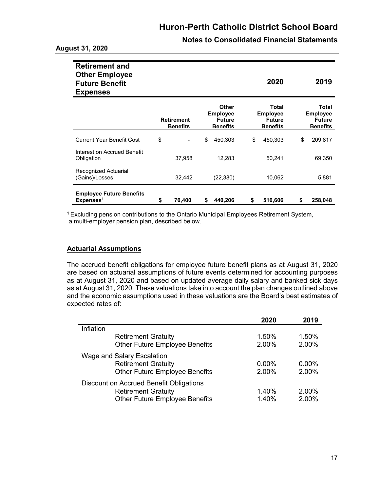| <b>Notes to Consolidated Financial Statements</b> |  |
|---------------------------------------------------|--|
|---------------------------------------------------|--|

| <b>Retirement and</b><br><b>Other Employee</b><br><b>Future Benefit</b><br><b>Expenses</b> |                                      |        |                                                              |           |                                                              | 2020    |    | 2019                                                                |
|--------------------------------------------------------------------------------------------|--------------------------------------|--------|--------------------------------------------------------------|-----------|--------------------------------------------------------------|---------|----|---------------------------------------------------------------------|
|                                                                                            | <b>Retirement</b><br><b>Benefits</b> |        | Other<br><b>Employee</b><br><b>Future</b><br><b>Benefits</b> |           | Total<br><b>Employee</b><br><b>Future</b><br><b>Benefits</b> |         |    | <b>Total</b><br><b>Employee</b><br><b>Future</b><br><b>Benefits</b> |
| <b>Current Year Benefit Cost</b>                                                           | \$                                   |        | \$                                                           | 450,303   | \$                                                           | 450,303 | \$ | 209,817                                                             |
| Interest on Accrued Benefit<br>Obligation                                                  |                                      | 37,958 |                                                              | 12,283    |                                                              | 50,241  |    | 69,350                                                              |
| Recognized Actuarial<br>(Gains)/Losses                                                     |                                      | 32,442 |                                                              | (22, 380) |                                                              | 10,062  |    | 5,881                                                               |
| <b>Employee Future Benefits</b><br>Expenses <sup>1</sup>                                   | \$                                   | 70,400 | S                                                            | 440.206   | \$                                                           | 510,606 | S  | 258,048                                                             |

<sup>1</sup>Excluding pension contributions to the Ontario Municipal Employees Retirement System, a multi-employer pension plan, described below.

## **Actuarial Assumptions**

The accrued benefit obligations for employee future benefit plans as at August 31, 2020 are based on actuarial assumptions of future events determined for accounting purposes as at August 31, 2020 and based on updated average daily salary and banked sick days as at August 31, 2020. These valuations take into account the plan changes outlined above and the economic assumptions used in these valuations are the Board's best estimates of expected rates of:

|                                         | 2020  | 2019     |
|-----------------------------------------|-------|----------|
| Inflation                               |       |          |
| <b>Retirement Gratuity</b>              | 1.50% | 1.50%    |
| <b>Other Future Employee Benefits</b>   | 2.00% | 2.00%    |
| Wage and Salary Escalation              |       |          |
| <b>Retirement Gratuity</b>              | 0.00% | $0.00\%$ |
| <b>Other Future Employee Benefits</b>   | 2.00% | 2.00%    |
| Discount on Accrued Benefit Obligations |       |          |
| <b>Retirement Gratuity</b>              | 1.40% | 2.00%    |
| <b>Other Future Employee Benefits</b>   | 1.40% | 2.00%    |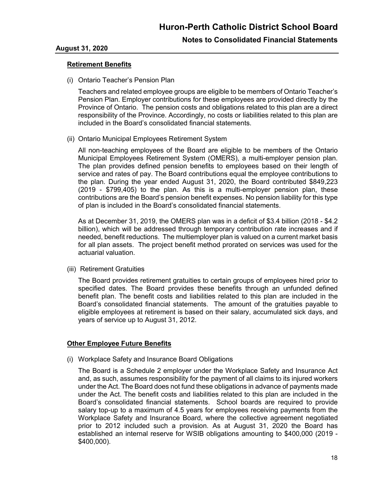## **Notes to Consolidated Financial Statements**

### **Retirement Benefits**

(i) Ontario Teacher's Pension Plan

Teachers and related employee groups are eligible to be members of Ontario Teacher's Pension Plan. Employer contributions for these employees are provided directly by the Province of Ontario. The pension costs and obligations related to this plan are a direct responsibility of the Province. Accordingly, no costs or liabilities related to this plan are included in the Board's consolidated financial statements.

(ii) Ontario Municipal Employees Retirement System

All non-teaching employees of the Board are eligible to be members of the Ontario Municipal Employees Retirement System (OMERS), a multi-employer pension plan. The plan provides defined pension benefits to employees based on their length of service and rates of pay. The Board contributions equal the employee contributions to the plan. During the year ended August 31, 2020, the Board contributed \$849,223 (2019 - \$799,405) to the plan. As this is a multi-employer pension plan, these contributions are the Board's pension benefit expenses. No pension liability for this type of plan is included in the Board's consolidated financial statements.

As at December 31, 2019, the OMERS plan was in a deficit of \$3.4 billion (2018 - \$4.2 billion), which will be addressed through temporary contribution rate increases and if needed, benefit reductions. The multiemployer plan is valued on a current market basis for all plan assets. The project benefit method prorated on services was used for the actuarial valuation.

(iii) Retirement Gratuities

The Board provides retirement gratuities to certain groups of employees hired prior to specified dates. The Board provides these benefits through an unfunded defined benefit plan. The benefit costs and liabilities related to this plan are included in the Board's consolidated financial statements. The amount of the gratuities payable to eligible employees at retirement is based on their salary, accumulated sick days, and years of service up to August 31, 2012.

#### **Other Employee Future Benefits**

(i) Workplace Safety and Insurance Board Obligations

The Board is a Schedule 2 employer under the Workplace Safety and Insurance Act and, as such, assumes responsibility for the payment of all claims to its injured workers under the Act. The Board does not fund these obligations in advance of payments made under the Act. The benefit costs and liabilities related to this plan are included in the Board's consolidated financial statements. School boards are required to provide salary top-up to a maximum of 4.5 years for employees receiving payments from the Workplace Safety and Insurance Board, where the collective agreement negotiated prior to 2012 included such a provision. As at August 31, 2020 the Board has established an internal reserve for WSIB obligations amounting to \$400,000 (2019 - \$400,000).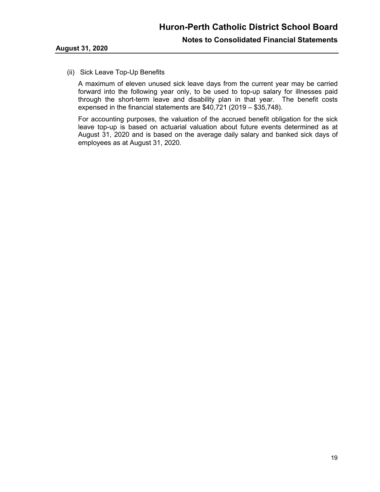#### (ii) Sick Leave Top-Up Benefits

A maximum of eleven unused sick leave days from the current year may be carried forward into the following year only, to be used to top-up salary for illnesses paid through the short-term leave and disability plan in that year. The benefit costs expensed in the financial statements are \$40,721 (2019 – \$35,748).

For accounting purposes, the valuation of the accrued benefit obligation for the sick leave top-up is based on actuarial valuation about future events determined as at August 31, 2020 and is based on the average daily salary and banked sick days of employees as at August 31, 2020.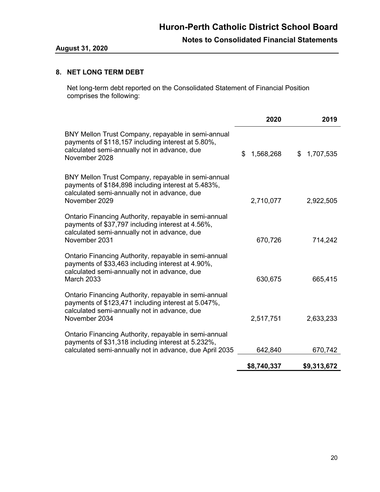## **8. NET LONG TERM DEBT**

Net long-term debt reported on the Consolidated Statement of Financial Position comprises the following:

|                                                                                                                                                                                 | 2020            | 2019            |
|---------------------------------------------------------------------------------------------------------------------------------------------------------------------------------|-----------------|-----------------|
| BNY Mellon Trust Company, repayable in semi-annual<br>payments of \$118,157 including interest at 5.80%,<br>calculated semi-annually not in advance, due<br>November 2028       | \$<br>1,568,268 | \$<br>1,707,535 |
| BNY Mellon Trust Company, repayable in semi-annual<br>payments of \$184,898 including interest at 5.483%,<br>calculated semi-annually not in advance, due<br>November 2029      | 2,710,077       | 2,922,505       |
| Ontario Financing Authority, repayable in semi-annual<br>payments of \$37,797 including interest at 4.56%,<br>calculated semi-annually not in advance, due<br>November 2031     | 670,726         | 714,242         |
| Ontario Financing Authority, repayable in semi-annual<br>payments of \$33,463 including interest at 4.90%,<br>calculated semi-annually not in advance, due<br><b>March 2033</b> | 630,675         | 665,415         |
| Ontario Financing Authority, repayable in semi-annual<br>payments of \$123,471 including interest at 5.047%,<br>calculated semi-annually not in advance, due<br>November 2034   | 2,517,751       | 2,633,233       |
| Ontario Financing Authority, repayable in semi-annual<br>payments of \$31,318 including interest at 5.232%,<br>calculated semi-annually not in advance, due April 2035          | 642,840         | 670,742         |
|                                                                                                                                                                                 | \$8,740,337     | \$9,313,672     |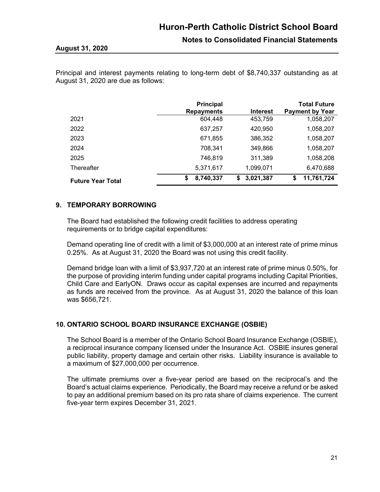**Notes to Consolidated Financial Statements**

Principal and interest payments relating to long-term debt of \$8,740,337 outstanding as at August 31, 2020 are due as follows:

|                          | <b>Principal</b><br><b>Repayments</b> | <b>Interest</b> | <b>Total Future</b><br><b>Payment by Year</b> |
|--------------------------|---------------------------------------|-----------------|-----------------------------------------------|
| 2021                     | 604,448                               | 453,759         | 1,058,207                                     |
| 2022                     | 637,257                               | 420,950         | 1,058,207                                     |
| 2023                     | 671,855                               | 386,352         | 1,058,207                                     |
| 2024                     | 708.341                               | 349,866         | 1,058,207                                     |
| 2025                     | 746,819                               | 311,389         | 1,058,208                                     |
| Thereafter               | 5,371,617                             | 1,099,071       | 6,470,688                                     |
| <b>Future Year Total</b> | 8,740,337<br>\$                       | 3,021,387<br>S  | 11,761,724<br>S                               |

## **9. TEMPORARY BORROWING**

The Board had established the following credit facilities to address operating requirements or to bridge capital expenditures:

Demand operating line of credit with a limit of \$3,000,000 at an interest rate of prime minus 0.25%. As at August 31, 2020 the Board was not using this credit facility.

Demand bridge loan with a limit of \$3,937,720 at an interest rate of prime minus 0.50%, for the purpose of providing interim funding under capital programs including Capital Priorities, Child Care and EarlyON. Draws occur as capital expenses are incurred and repayments as funds are received from the province. As at August 31, 2020 the balance of this loan was \$656,721.

## **10. ONTARIO SCHOOL BOARD INSURANCE EXCHANGE (OSBIE)**

The School Board is a member of the Ontario School Board Insurance Exchange (OSBIE), a reciprocal insurance company licensed under the Insurance Act. OSBIE insures general public liability, property damage and certain other risks. Liability insurance is available to a maximum of \$27,000,000 per occurrence.

The ultimate premiums over a five-year period are based on the reciprocal's and the Board's actual claims experience. Periodically, the Board may receive a refund or be asked to pay an additional premium based on its pro rata share of claims experience. The current five-year term expires December 31, 2021.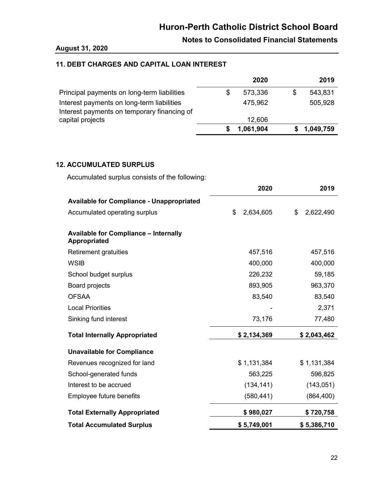## **Notes to Consolidated Financial Statements**

### **August 31, 2020**

## **11. DEBT CHARGES AND CAPITAL LOAN INTEREST**

|                                                                                           | 2020      | 2019      |
|-------------------------------------------------------------------------------------------|-----------|-----------|
| Principal payments on long-term liabilities                                               | 573,336   | 543,831   |
| Interest payments on long-term liabilities<br>Interest payments on temporary financing of | 475,962   | 505,928   |
| capital projects                                                                          | 12,606    |           |
|                                                                                           | 1,061,904 | 1,049,759 |

## **12. ACCUMULATED SURPLUS**

Accumulated surplus consists of the following:

|                                                              | 2020            | 2019            |
|--------------------------------------------------------------|-----------------|-----------------|
| <b>Available for Compliance - Unappropriated</b>             |                 |                 |
| Accumulated operating surplus                                | \$<br>2,634,605 | \$<br>2,622,490 |
| <b>Available for Compliance - Internally</b><br>Appropriated |                 |                 |
| Retirement gratuities                                        | 457,516         | 457,516         |
| <b>WSIB</b>                                                  | 400,000         | 400,000         |
| School budget surplus                                        | 226,232         | 59,185          |
| Board projects                                               | 893,905         | 963,370         |
| <b>OFSAA</b>                                                 | 83,540          | 83,540          |
| <b>Local Priorities</b>                                      |                 | 2,371           |
| Sinking fund interest                                        | 73,176          | 77,480          |
| <b>Total Internally Appropriated</b>                         | \$2,134,369     | \$2,043,462     |
| <b>Unavailable for Compliance</b>                            |                 |                 |
| Revenues recognized for land                                 | \$1,131,384     | \$1,131,384     |
| School-generated funds                                       | 563,225         | 596,825         |
| Interest to be accrued                                       | (134, 141)      | (143, 051)      |
| Employee future benefits                                     | (580, 441)      | (864, 400)      |
| <b>Total Externally Appropriated</b>                         | \$980,027       | \$720,758       |
| <b>Total Accumulated Surplus</b>                             | \$5,749,001     | \$5,386,710     |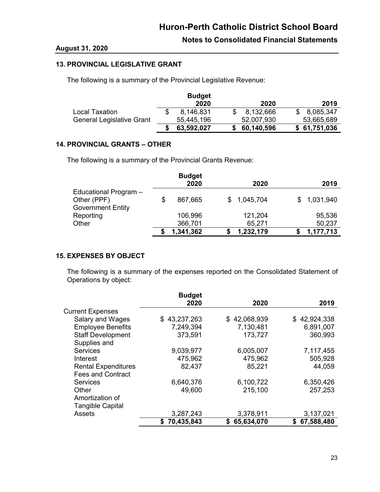## **August 31, 2020**

## **13. PROVINCIAL LEGISLATIVE GRANT**

The following is a summary of the Provincial Legislative Revenue:

|                           | <b>Budget</b> |              |              |
|---------------------------|---------------|--------------|--------------|
|                           | 2020          | 2020         | 2019         |
| Local Taxation            | 8,146,831     | 8,132,666    | 8,085,347    |
| General Legislative Grant | 55,445,196    | 52,007,930   | 53,665,689   |
|                           | 63,592,027    | \$60,140,596 | \$61,751,036 |

## **14. PROVINCIAL GRANTS – OTHER**

The following is a summary of the Provincial Grants Revenue:

|                          | <b>Budget</b><br>2020 | 2020        | 2019        |
|--------------------------|-----------------------|-------------|-------------|
| Educational Program -    |                       |             |             |
| Other (PPF)              | 867,665               | \$1,045,704 | \$1,031,940 |
| <b>Government Entity</b> |                       |             |             |
| Reporting                | 106,996               | 121,204     | 95,536      |
| Other                    | 366,701               | 65,271      | 50,237      |
|                          | 1,341,362             | 1,232,179   | 1,177,713   |

## **15. EXPENSES BY OBJECT**

The following is a summary of the expenses reported on the Consolidated Statement of Operations by object:

|                            | <b>Budget</b> |              |                  |
|----------------------------|---------------|--------------|------------------|
|                            | 2020          | 2020         | 2019             |
| <b>Current Expenses</b>    |               |              |                  |
| Salary and Wages           | \$43,237,263  | \$42,068,939 | \$42,924,338     |
| <b>Employee Benefits</b>   | 7,249,394     | 7,130,481    | 6,891,007        |
| <b>Staff Development</b>   | 373,591       | 173,727      | 360,993          |
| Supplies and               |               |              |                  |
| <b>Services</b>            | 9,039,977     | 6,005,007    | 7,117,455        |
| Interest                   | 475,962       | 475,962      | 505,928          |
| <b>Rental Expenditures</b> | 82,437        | 85,221       | 44,059           |
| <b>Fees and Contract</b>   |               |              |                  |
| <b>Services</b>            | 6,640,376     | 6,100,722    | 6,350,426        |
| Other                      | 49,600        | 215,100      | 257,253          |
| Amortization of            |               |              |                  |
| <b>Tangible Capital</b>    |               |              |                  |
| <b>Assets</b>              | 3,287,243     | 3,378,911    | 3,137,021        |
|                            | 70,435,843    | \$65,634,070 | 67,588,480<br>S. |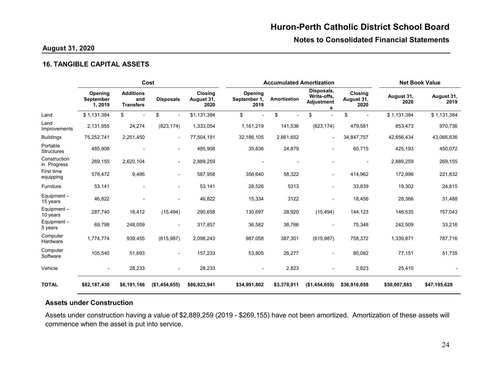**Notes to Consolidated Financial Statements**

## **August 31, 2020**

#### **16. TANGIBLE CAPITAL ASSETS**

|                               | Cost                            |                                             |                          |                                      |                                 | <b>Accumulated Amortization</b> |                                              |                               |                    | <b>Net Book Value</b> |  |
|-------------------------------|---------------------------------|---------------------------------------------|--------------------------|--------------------------------------|---------------------------------|---------------------------------|----------------------------------------------|-------------------------------|--------------------|-----------------------|--|
|                               | Opening<br>September<br>1, 2019 | <b>Additions</b><br>and<br><b>Transfers</b> | <b>Disposals</b>         | <b>Closing</b><br>August 31,<br>2020 | Opening<br>September 1,<br>2019 | Amortization                    | Disposals,<br>Write-offs,<br>Adjustment<br>s | Closing<br>August 31,<br>2020 | August 31,<br>2020 | August 31,<br>2019    |  |
| Land                          | \$1,131,384                     | \$                                          | \$                       | \$1,131,384                          | \$                              | \$                              | \$                                           | \$                            | \$1,131,384        | \$1,131,384           |  |
| Land<br>Improvements          | 2,131,955                       | 24,274                                      | (823, 174)               | 1,333,054                            | 1,161,219                       | 141,536                         | (823, 174)                                   | 479,581                       | 853,473            | 970,736               |  |
| <b>Buildings</b>              | 75,252,741                      | 2,251,450                                   | $\overline{\phantom{a}}$ | 77,504,191                           | 32,186,105                      | 2,661,652                       | $\overline{\phantom{a}}$                     | 34,847,757                    | 42,656,434         | 43,066,636            |  |
| Portable<br><b>Structures</b> | 485,908                         |                                             |                          | 485,908                              | 35,836                          | 24,879                          | $\overline{\phantom{a}}$                     | 60,715                        | 425,193            | 450,072               |  |
| Construction<br>in Progress   | 269,155                         | 2,620,104                                   | ٠                        | 2,889,259                            |                                 |                                 |                                              |                               | 2,889,259          | 269,155               |  |
| First time<br>equipping       | 578,472                         | 9,486                                       | ٠                        | 587,958                              | 356,640                         | 58,322                          | $\blacksquare$                               | 414,962                       | 172,996            | 221,832               |  |
| Furniture                     | 53,141                          |                                             | $\overline{\phantom{a}}$ | 53.141                               | 28,526                          | 5313                            |                                              | 33,839                        | 19,302             | 24,615                |  |
| Equipment $-$<br>15 years     | 46,822                          |                                             |                          | 46,822                               | 15,334                          | 3122                            | $\overline{\phantom{0}}$                     | 18,456                        | 28,366             | 31,488                |  |
| Equipment $-$<br>10 years     | 287,740                         | 18,412                                      | (15, 494)                | 290,658                              | 130,697                         | 28,920                          | (15, 494)                                    | 144,123                       | 146,535            | 157,043               |  |
| Equipment $-$<br>5 years      | 69,798                          | 248,059                                     |                          | 317,857                              | 36,582                          | 38,766                          | $\blacksquare$                               | 75,348                        | 242,509            | 33,216                |  |
| Computer<br>Hardware          | 1,774,774                       | 939,455                                     | (615, 987)               | 2,098,243                            | 987,058                         | 387,301                         | (615, 987)                                   | 758,372                       | 1,339,871          | 787,716               |  |
| Computer<br>Software          | 105,540                         | 51,693                                      | $\blacksquare$           | 157,233                              | 53,805                          | 26,277                          | $\overline{\phantom{0}}$                     | 80,082                        | 77,151             | 51,735                |  |
| Vehicle                       | $\overline{\phantom{a}}$        | 28,233                                      |                          | 28,233                               | $\blacksquare$                  | 2,823                           |                                              | 2,823                         | 25,410             |                       |  |
| <b>TOTAL</b>                  | \$82,187,430                    | \$6,191,166                                 | (\$1,454,655)            | \$86,923,941                         | \$34,991,802                    | \$3,378,911                     | (\$1,454,655)                                | \$36,916,058                  | \$50,007,883       | \$47,195,628          |  |

## **Assets under Construction**

Assets under construction having a value of \$2,889,259 (2019 - \$269,155) have not been amortized. Amortization of these assets will commence when the asset is put into service.